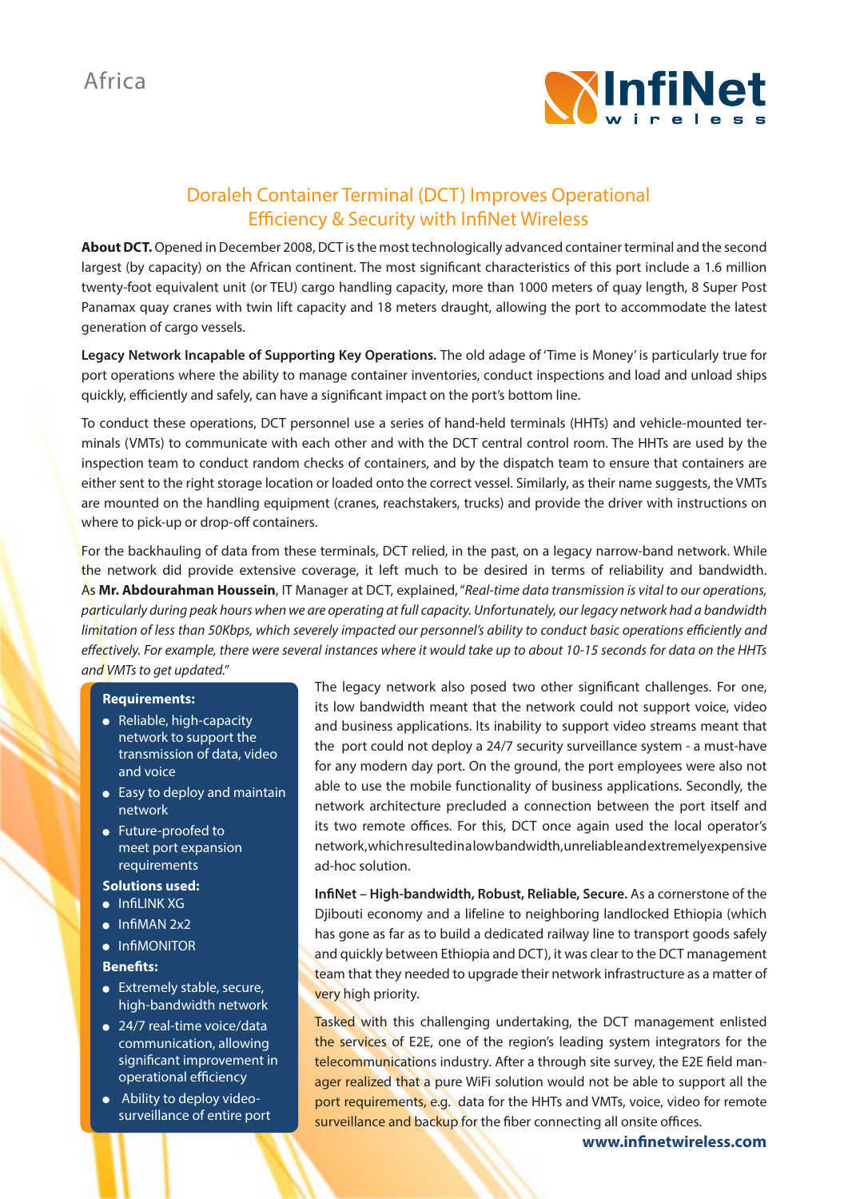

## Doraleh Container Terminal (DCT) Improves Operational Efficiency & Security with InfiNet Wireless

**About DCT.** Opened in December 2008, DCT is the most technologically advanced container terminal and the second largest (by capacity) on the African continent. The most significant characteristics of this port include a 1.6 million twenty-foot equivalent unit (or TEU) cargo handling capacity, more than 1000 meters of quay length, 8 Super Post Panamax quay cranes with twin lift capacity and 18 meters draught, allowing the port to accommodate the latest generation of cargo vessels.

**Legacy Network Incapable of Supporting Key Operations.** The old adage of 'Time is Money' is particularly true for port operations where the ability to manage container inventories, conduct inspections and load and unload ships quickly, efficiently and safely, can have a significant impact on the port's bottom line.

To conduct these operations, DCT personnel use a series of hand-held terminals (HHTs) and vehicle-mounted terminals (VMTs) to communicate with each other and with the DCT central control room. The HHTs are used by the inspection team to conduct random checks of containers, and by the dispatch team to ensure that containers are either sent to the right storage location or loaded onto the correct vessel. Similarly, as their name suggests, the VMTs are mounted on the handling equipment (cranes, reachstakers, trucks) and provide the driver with instructions on where to pick-up or drop-off containers.

For the backhauling of data from these terminals, DCT relied, in the past, on a legacy narrow-band network. While the network did provide extensive coverage, it left much to be desired in terms of reliability and bandwidth. As **Mr. Abdourahman Houssein**, IT Manager at DCT, explained, "*Real-time data transmission is vital to our operations, particularly during peak hours when we are operating at full capacity. Unfortunately, our legacy network had a bandwidth limitation of less than 50Kbps, which severely impacted our personnel's ability to conduct basic operations efficiently and effectively. For example, there were several instances where it would take up to about 10-15 seconds for data on the HHTs and VMTs to get updated."* 

## **Requirements:**

- Reliable, high-capacity network to support the transmission of data, video and voice
- Easy to deploy and maintain network
- Future-proofed to meet port expansion requirements

## **Solutions used:**

- InfiLINK XG
- $\bullet$  InfiMAN  $2x2$
- $\bullet$  InfiMONITOR

## **Benefits:**

- **•** Extremely stable, secure, high-bandwidth network
- 24/7 real-time voice/data communication, allowing significant improvement in operational efficiency
- Ability to deploy videosurveillance of entire port

The legacy network also posed two other significant challenges. For one, its low bandwidth meant that the network could not support voice, video and business applications. Its inability to support video streams meant that the port could not deploy a 24/7 security surveillance system - a must-have for any modern day port. On the ground, the port employees were also not able to use the mobile functionality of business applications. Secondly, the network architecture precluded a connection between the port itself and its two remote offices. For this, DCT once again used the local operator's network, which resulted in a low bandwidth, unreliable and extremely expensive ad-hoc solution.

**InfiNet – High-bandwidth, Robust, Reliable, Secure.** As a cornerstone of the Djibouti economy and a lifeline to neighboring landlocked Ethiopia (which has gone as far as to build a dedicated railway line to transport goods safely and quickly between Ethiopia and DCT), it was clear to the DCT management team that they needed to upgrade their network infrastructure as a matter of very high priority.

Tasked with this challenging undertaking, the DCT management enlisted the services of E2E, one of the region's leading system integrators for the telecommunications industry. After a through site survey, the E2E field manager realized that a pure WiFi solution would not be able to support all the port requirements, e.g. data for the HHTs and VMTs, voice, video for remote surveillance and backup for the fiber connecting all onsite offices.